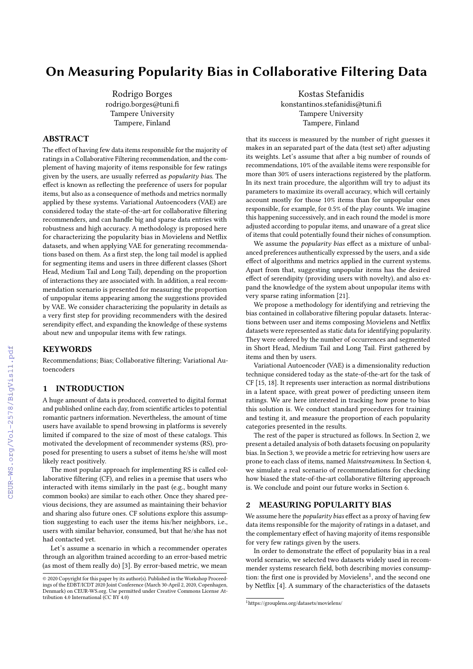# On Measuring Popularity Bias in Collaborative Filtering Data

Rodrigo Borges rodrigo.borges@tuni.fi Tampere University Tampere, Finland

## ABSTRACT

The effect of having few data items responsible for the majority of ratings in a Collaborative Filtering recommendation, and the complement of having majority of items responsible for few ratings given by the users, are usually referred as popularity bias. The effect is known as reflecting the preference of users for popular items, but also as a consequence of methods and metrics normally applied by these systems. Variational Autoencoders (VAE) are considered today the state-of-the-art for collaborative filtering recommenders, and can handle big and sparse data entries with robustness and high accuracy. A methodology is proposed here for characterizing the popularity bias in Movielens and Netflix datasets, and when applying VAE for generating recommendations based on them. As a first step, the long tail model is applied for segmenting items and users in three different classes (Short Head, Medium Tail and Long Tail), depending on the proportion of interactions they are associated with. In addition, a real recommendation scenario is presented for measuring the proportion of unpopular items appearing among the suggestions provided by VAE. We consider characterizing the popularity in details as a very first step for providing recommenders with the desired serendipity effect, and expanding the knowledge of these systems about new and unpopular items with few ratings.

#### KEYWORDS

Recommendations; Bias; Collaborative filtering; Variational Autoencoders

### 1 INTRODUCTION

A huge amount of data is produced, converted to digital format and published online each day, from scientific articles to potential romantic partners information. Nevertheless, the amount of time users have available to spend browsing in platforms is severely limited if compared to the size of most of these catalogs. This motivated the development of recommender systems (RS), proposed for presenting to users a subset of items he/she will most likely react positively.

The most popular approach for implementing RS is called collaborative filtering (CF), and relies in a premise that users who interacted with items similarly in the past (e.g., bought many common books) are similar to each other. Once they shared previous decisions, they are assumed as maintaining their behavior and sharing also future ones. CF solutions explore this assumption suggesting to each user the items his/her neighbors, i.e., users with similar behavior, consumed, but that he/she has not had contacted yet.

Let's assume a scenario in which a recommender operates through an algorithm trained according to an error-based metric (as most of them really do) [\[3\]](#page--1-0). By error-based metric, we mean

Kostas Stefanidis konstantinos.stefanidis@tuni.fi Tampere University Tampere, Finland

that its success is measured by the number of right guesses it makes in an separated part of the data (test set) after adjusting its weights. Let's assume that after a big number of rounds of recommendations, 10% of the available items were responsible for more than 30% of users interactions registered by the platform. In its next train procedure, the algorithm will try to adjust its parameters to maximize its overall accuracy, which will certainly account mostly for those 10% items than for unpopular ones responsible, for example, for 0.5% of the play counts. We imagine this happening successively, and in each round the model is more adjusted according to popular items, and unaware of a great slice of items that could potentially found their niches of consumption.

We assume the popularity bias effect as a mixture of unbalanced preferences authentically expressed by the users, and a side effect of algorithms and metrics applied in the current systems. Apart from that, suggesting unpopular items has the desired effect of serendipity (providing users with novelty), and also expand the knowledge of the system about unpopular items with very sparse rating information [\[21\]](#page--1-1).

We propose a methodology for identifying and retrieving the bias contained in collaborative filtering popular datasets. Interactions between user and items composing Movielens and Netflix datasets were represented as static data for identifying popularity. They were ordered by the number of occurrences and segmented in Short Head, Medium Tail and Long Tail. First gathered by items and then by users.

Variational Autoencoder (VAE) is a dimensionality reduction technique considered today as the state-of-the-art for the task of CF [\[15,](#page--1-2) [18\]](#page--1-3). It represents user interaction as normal distributions in a latent space, with great power of predicting unseen item ratings. We are here interested in tracking how prone to bias this solution is. We conduct standard procedures for training and testing it, and measure the proportion of each popularity categories presented in the results.

The rest of the paper is structured as follows. In Section [2,](#page-0-0) we present a detailed analysis of both datasets focusing on popularity bias. In Section [3,](#page--1-4) we provide a metric for retrieving how users are prone to each class of items, named Mainstreaminess. In Section [4,](#page--1-5) we simulate a real scenario of recommendations for checking how biased the state-of-the-art collaborative filtering approach is. We conclude and point our future works in Section [6.](#page--1-6)

# <span id="page-0-0"></span>2 MEASURING POPULARITY BIAS

We assume here the *popularity bias* effect as a proxy of having few data items responsible for the majority of ratings in a dataset, and the complementary effect of having majority of items responsible for very few ratings given by the users.

In order to demonstrate the effect of popularity bias in a real world scenario, we selected two datasets widely used in recommender systems research field, both describing movies consump-tion: the first one is provided by Movielens<sup>[1](#page-0-1)</sup>, and the second one by Netflix [\[4\]](#page--1-7). A summary of the characteristics of the datasets

<sup>©</sup> 2020 Copyright for this paper by its author(s). Published in the Workshop Proceedings of the EDBT/ICDT 2020 Joint Conference (March 30-April 2, 2020, Copenhagen, Denmark) on CEUR-WS.org. Use permitted under Creative Commons License Attribution 4.0 International (CC BY 4.0)

<span id="page-0-1"></span> $^{\rm 1}$ <https://grouplens.org/datasets/movielens/>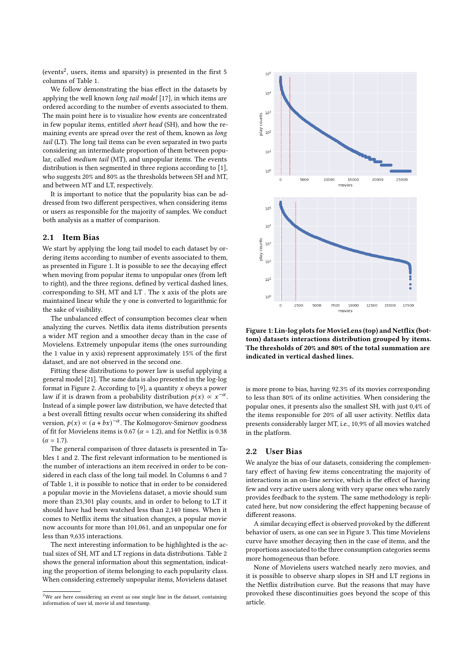(events<sup>[2](#page-1-0)</sup>, users, items and sparsity) is presented in the first 5 columns of Table [1.](#page-2-0)

We follow demonstrating the bias effect in the datasets by applying the well known long tail model [\[17\]](#page-5-0), in which items are ordered according to the number of events associated to them. The main point here is to visualize how events are concentrated in few popular items, entitled short head (SH), and how the remaining events are spread over the rest of them, known as long tail (LT). The long tail items can be even separated in two parts considering an intermediate proportion of them between popular, called medium tail (MT), and unpopular items. The events distribution is then segmented in three regions according to [\[1\]](#page-5-1), who suggests 20% and 80% as the thresholds between SH and MT, and between MT and LT, respectively.

It is important to notice that the popularity bias can be addressed from two different perspectives, when considering items or users as responsible for the majority of samples. We conduct both analysis as a matter of comparison.

## 2.1 Item Bias

We start by applying the long tail model to each dataset by ordering items according to number of events associated to them, as presented in Figure [1.](#page-1-1) It is possible to see the decaying effect when moving from popular items to unpopular ones (from left to right), and the three regions, defined by vertical dashed lines, corresponding to SH, MT and LT . The x axis of the plots are maintained linear while the y one is converted to logarithmic for the sake of visibility.

The unbalanced effect of consumption becomes clear when analyzing the curves. Netflix data items distribution presents a wider MT region and a smoother decay than in the case of Movielens. Extremely unpopular items (the ones surrounding the 1 value in y axis) represent approximately 15% of the first dataset, and are not observed in the second one.

Fitting these distributions to power law is useful applying a general model [\[21\]](#page-5-2). The same data is also presented in the log-log format in Figure [2.](#page-2-1) According to [\[9\]](#page-5-3), a quantity  $x$  obeys a power law if it is drawn from a probability distribution  $p(x) \propto x^{-\alpha}$ . Instead of a simple power law distribution, we have detected that a best overall fitting results occur when considering its shifted version,  $p(x) \propto (a + bx)^{-\alpha}$ . The Kolmogorov-Smirnov goodness of fit for Movielens items is 0.67 ( $\alpha$  = 1.2), and for Netflix is 0.38  $(\alpha = 1.7)$ .

The general comparison of three datasets is presented in Tables [1](#page-2-0) and [2.](#page-2-2) The first relevant information to be mentioned is the number of interactions an item received in order to be considered in each class of the long tail model. In Columns 6 and 7 of Table [1,](#page-2-0) it is possible to notice that in order to be considered a popular movie in the Movielens dataset, a movie should sum more than 23,301 play counts, and in order to belong to LT it should have had been watched less than 2,140 times. When it comes to Netflix items the situation changes, a popular movie now accounts for more than 101,061, and an unpopular one for less than 9,635 interactions.

The next interesting information to be highlighted is the actual sizes of SH, MT and LT regions in data distributions. Table [2](#page-2-2) shows the general information about this segmentation, indicating the proportion of items belonging to each popularity class. When considering extremely unpopular items, Movielens dataset

<span id="page-1-1"></span>

Figure 1: Lin-log plots for MovieLens (top) and Netflix (bottom) datasets interactions distribution grouped by items. The thresholds of 20% and 80% of the total summation are indicated in vertical dashed lines.

is more prone to bias, having 92.3% of its movies corresponding to less than 80% of its online activities. When considering the popular ones, it presents also the smallest SH, with just 0,4% of the items responsible for 20% of all user activity. Netflix data presents considerably larger MT, i.e., 10,9% of all movies watched in the platform.

## 2.2 User Bias

We analyze the bias of our datasets, considering the complementary effect of having few items concentrating the majority of interactions in an on-line service, which is the effect of having few and very active users along with very sparse ones who rarely provides feedback to the system. The same methodology is replicated here, but now considering the effect happening because of different reasons.

A similar decaying effect is observed provoked by the different behavior of users, as one can see in Figure [3.](#page-2-3) This time Movielens curve have smother decaying then in the case of items, and the proportions associated to the three consumption categories seems more homogeneous than before.

None of Movielens users watched nearly zero movies, and it is possible to observe sharp slopes in SH and LT regions in the Netflix distribution curve. But the reasons that may have provoked these discontinuities goes beyond the scope of this article.

<span id="page-1-0"></span><sup>&</sup>lt;sup>2</sup>We are here considering an event as one single line in the dataset, containing information of user id, movie id and timestamp.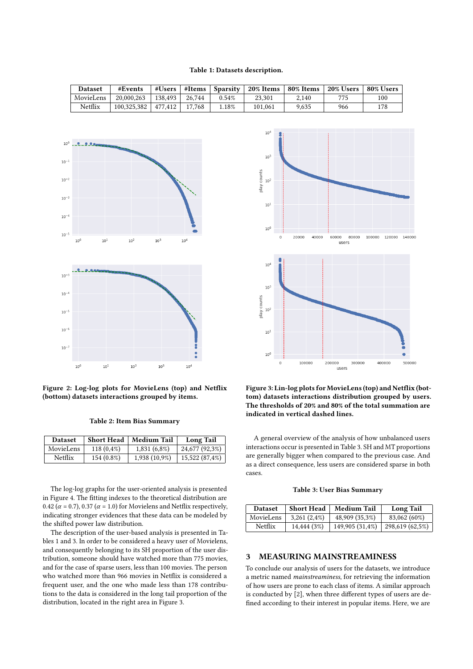#### Table 1: Datasets description.

Dataset | #Events |#Users |#Items | Sparsity | 20% Items | 80% Items | 20% Users | 80% Users

<span id="page-2-1"></span><span id="page-2-0"></span>

Figure 2: Log-log plots for MovieLens (top) and Netflix (bottom) datasets interactions grouped by items.

Table 2: Item Bias Summary

<span id="page-2-2"></span>

| <b>Dataset</b> | Short Head    | Medium Tail   | <b>Long Tail</b> |
|----------------|---------------|---------------|------------------|
| MovieLens      | $118(0, 4\%)$ | 1,831 (6,8%)  | 24,677 (92,3%)   |
| <b>Netflix</b> | 154 (0.8%)    | 1,938 (10,9%) | 15,522 (87,4%)   |

The log-log graphs for the user-oriented analysis is presented in Figure [4.](#page-3-0) The fitting indexes to the theoretical distribution are 0.42 ( $\alpha$  = 0.7), 0.37 ( $\alpha$  = 1.0) for Movielens and Netflix respectively, indicating stronger evidences that these data can be modeled by the shifted power law distribution.

The description of the user-based analysis is presented in Tables [1](#page-2-0) and [3.](#page-2-4) In order to be considered a heavy user of Movielens, and consequently belonging to its SH proportion of the user distribution, someone should have watched more than 775 movies, and for the case of sparse users, less than 100 movies. The person who watched more than 966 movies in Netflix is considered a frequent user, and the one who made less than 178 contributions to the data is considered in the long tail proportion of the distribution, located in the right area in Figure [3.](#page-2-3)

<span id="page-2-3"></span>

Figure 3: Lin-log plots for MovieLens (top) and Netflix (bottom) datasets interactions distribution grouped by users. The thresholds of 20% and 80% of the total summation are indicated in vertical dashed lines.

A general overview of the analysis of how unbalanced users interactions occur is presented in Table [3.](#page-2-4) SH and MT proportions are generally bigger when compared to the previous case. And as a direct consequence, less users are considered sparse in both cases.

Table 3: User Bias Summary

<span id="page-2-4"></span>

| <b>Dataset</b> | <b>Short Head</b> | <b>Medium Tail</b> | <b>Long Tail</b> |
|----------------|-------------------|--------------------|------------------|
| MovieLens      | $3,261(2,4\%)$    | 48,909 (35,3%)     | 83,062 (60%)     |
| Netflix        | 14,444 (3%)       | 149,905 (31,4%)    | 298,619 (62,5%)  |

## 3 MEASURING MAINSTREAMINESS

To conclude our analysis of users for the datasets, we introduce a metric named mainstreaminess, for retrieving the information of how users are prone to each class of items. A similar approach is conducted by [\[2\]](#page-5-4), when three different types of users are defined according to their interest in popular items. Here, we are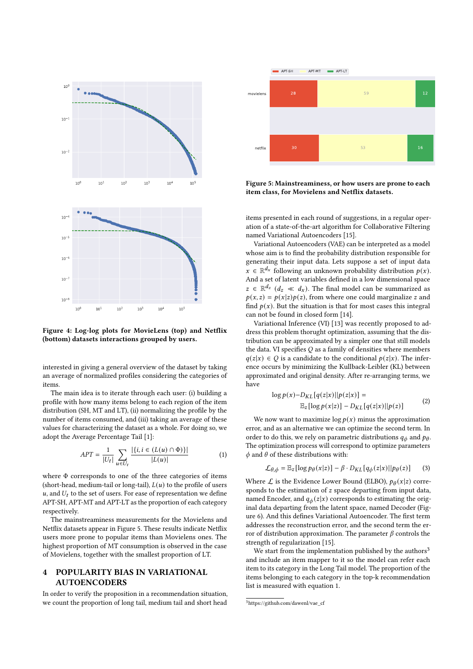<span id="page-3-0"></span>

Figure 4: Log-log plots for MovieLens (top) and Netflix (bottom) datasets interactions grouped by users.

interested in giving a general overview of the dataset by taking an average of normalized profiles considering the categories of items.

The main idea is to iterate through each user: (i) building a profile with how many items belong to each region of the item distribution (SH, MT and LT), (ii) normalizing the profile by the number of items consumed, and (iii) taking an average of these values for characterizing the dataset as a whole. For doing so, we adopt the Average Percentage Tail [\[1\]](#page-5-1):

<span id="page-3-3"></span>
$$
APT = \frac{1}{|U_t|} \sum_{u \in U_t} \frac{|\{i, i \in (L(u) \cap \Phi)\}|}{|L(u)|}
$$
(1)

where Φ corresponds to one of the three categories of items (short-head, medium-tail or long-tail),  $L(u)$  to the profile of users  $u$ , and  $U_t$  to the set of users. For ease of representation we define APT-SH, APT-MT and APT-LT as the proportion of each category respectively.

The mainstreaminess measurements for the Movielens and Netflix datasets appear in Figure [5.](#page-3-1) These results indicate Netflix users more prone to popular items than Movielens ones. The highest proportion of MT consumption is observed in the case of Movielens, together with the smallest proportion of LT.

# 4 POPULARITY BIAS IN VARIATIONAL AUTOENCODERS

In order to verify the proposition in a recommendation situation, we count the proportion of long tail, medium tail and short head

<span id="page-3-1"></span>

Figure 5: Mainstreaminess, or how users are prone to each item class, for Movielens and Netflix datasets.

items presented in each round of suggestions, in a regular operation of a state-of-the-art algorithm for Collaborative Filtering named Variational Autoencoders [\[15\]](#page-5-5).

Variational Autoencoders (VAE) can be interpreted as a model whose aim is to find the probability distribution responsible for generating their input data. Lets suppose a set of input data  $x \in \mathbb{R}^{d_x}$  following an unknown probability distribution  $p(x)$ . And a set of latent variables defined in a low dimensional space  $z \in \mathbb{R}^{d_z}$   $(d_z \ll d_x)$ . The final model can be summarized as  $p(x, z) = p(x|z)p(z)$ , from where one could marginalize z and find  $p(x)$ . But the situation is that for most cases this integral can not be found in closed form [\[14\]](#page-5-6).

Variational Inference (VI) [\[13\]](#page-5-7) was recently proposed to address this problem thorught optimization, assuming that the distribution can be approximated by a simpler one that still models the data. VI specifies  $Q$  as a family of densities where members  $q(z|x) \in Q$  is a candidate to the conditional  $p(z|x)$ . The inference occurs by minimizing the Kullback-Leibler (KL) between approximated and original density. After re-arranging terms, we have

$$
\log p(x) - D_{KL}[q(z|x)||p(z|x)] =
$$
  

$$
\mathbb{E}_{z}[\log p(x|z)] - D_{KL}[q(z|x)||p(z)] \tag{2}
$$

We now want to maximize  $\log p(x)$  minus the approximation error, and as an alternative we can optimize the second term. In order to do this, we rely on parametric distributions  $q_{\phi}$  and  $p_{\theta}$ . The optimization process will correspond to optimize parameters  $\phi$  and  $\theta$  of these distributions with:

$$
\mathcal{L}_{\theta,\phi} = \mathbb{E}_z [\log p_\theta(x|z)] - \beta \cdot D_{KL}[q_\phi(z|x)||p_\theta(z)] \tag{3}
$$

Where  $\mathcal L$  is the Evidence Lower Bound (ELBO),  $p_\theta(x|z)$  corresponds to the estimation of  $z$  space departing from input data, named Encoder, and  $q_{\phi}(z|x)$  corresponds to estimating the original data departing from the latent space, named Decoder (Figure [6\)](#page-4-0). And this defines Variational Autoencoder. The first term addresses the reconstruction error, and the second term the error of distribution approximation. The parameter  $\beta$  controls the strength of regularization [\[15\]](#page-5-5).

We start from the implementation published by the authors<sup>[3](#page-3-2)</sup> and include an item mapper to it so the model can refer each item to its category in the Long Tail model. The proportion of the items belonging to each category in the top-k recommendation list is measured with equation [1.](#page-3-3)

<span id="page-3-2"></span><sup>3</sup>https://github.com/dawenl/vae\_cf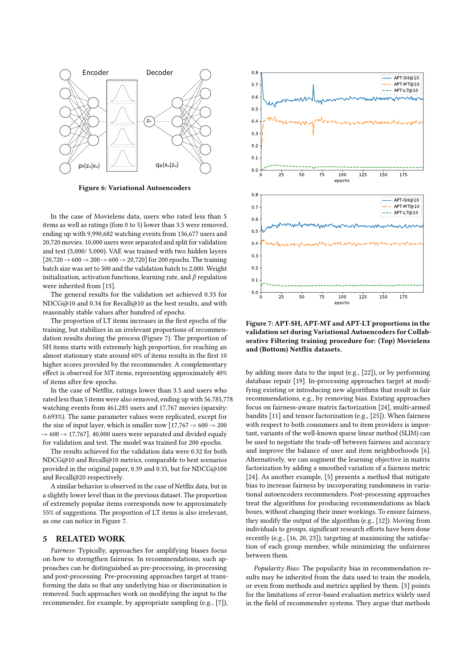<span id="page-4-0"></span>

Figure 6: Variational Autoencoders

In the case of Movielens data, users who rated less than 5 items as well as ratings (fom 0 to 5) lower than 3.5 were removed, ending up with 9,990,682 watching events from 136,677 users and 20,720 movies. 10,000 users were separated and split for validation and test (5,000/ 5,000). VAE was trained with two hidden layers  $[20,720 - 600 - 200 - 600 - 20,720]$  for 200 epochs. The training batch size was set to 500 and the validation batch to 2,000. Weight initialization, activation functions, learning rate, and  $\beta$  regulation were inherited from [\[15\]](#page-5-5).

The general results for the validation set achieved 0.33 for NDCG@10 and 0.34 for Recall@10 as the best results, and with reasonably stable values after hundred of epochs.

The proportion of LT items increases in the first epochs of the training, but stabilizes in an irrelevant proportions of recommendation results during the process (Figure [7\)](#page-4-1). The proportion of SH items starts with extremely high proportion, for reaching an almost stationary state around 60% of items results in the first 10 higher scores provided by the recommender. A complementary effect is observed for MT items, representing approximately 40% of items after few epochs.

In the case of Netflix, ratings lower than 3.5 and users who rated less than 5 items were also removed, ending up with 56,785,778 watching events from 461,285 users and 17,767 movies (sparsity: 0.693%). The same parameter values were replicated, except for the size of input layer, which is smaller now [17,767 -> 600 -> 200 -> 600 -> 17,767]. 40,000 users were separated and divided equaly for validation and test. The model was trained for 200 epochs.

The results achieved for the validation data were 0.32 for both NDCG@10 and Recall@10 metrics, comparable to best scenarios provided in the original paper, 0.39 and 0.35, but for NDCG@100 and Recall@20 respectively.

A similar behavior is observed in the case of Netflix data, but in a slightly lower level than in the previous dataset. The proportion of extremely popular items corresponds now to approximately 55% of suggestions. The proportion of LT items is also irrelevant, as one can notice in Figure [7.](#page-4-1)

## 5 RELATED WORK

Fairness: Typically, approaches for amplifying biases focus on how to strengthen fairness. In recommendations, such approaches can be distinguished as pre-processing, in-processing and post-processing. Pre-processing approaches target at transforming the data so that any underlying bias or discrimination is removed. Such approaches work on modifying the input to the recommender, for example, by appropriate sampling (e.g., [\[7\]](#page-5-8)),

<span id="page-4-1"></span>

Figure 7: APT-SH, APT-MT and APT-LT proportions in the validation set during Variational Autoencoders for Collaborative Filtering training procedure for: (Top) Movielens and (Bottom) Netflix datasets.

by adding more data to the input (e.g., [\[22\]](#page-5-9)), or by performing database repair [\[19\]](#page-5-10). In-processing approaches target at modifying existing or introducing new algorithms that result in fair recommendations, e.g., by removing bias. Existing approaches focus on fairness-aware matrix factorization [\[24\]](#page-5-11), multi-armed bandits [\[11\]](#page-5-12) and tensor factorization (e.g., [\[25\]](#page-5-13)). When fairness with respect to both consumers and to item providers is important, variants of the well-known sparse linear method (SLIM) can be used to negotiate the trade-off between fairness and accuracy and improve the balance of user and item neighborhoods [\[6\]](#page-5-14). Alternatively, we can augment the learning objective in matrix factorization by adding a smoothed variation of a fairness metric [\[24\]](#page-5-11). As another example, [\[5\]](#page-5-15) presents a method that mitigate bias to increase fairness by incorporating randomness in variational autoencoders recommenders. Post-processing approaches treat the algorithms for producing recommendations as black boxes, without changing their inner workings. To ensure fairness, they modify the output of the algorithm (e.g., [\[12\]](#page-5-16)). Moving from individuals to groups, significant research efforts have been done recently (e.g., [\[16,](#page-5-17) [20,](#page-5-18) [23\]](#page-5-19)), targeting at maximizing the satisfaction of each group member, while minimizing the unfairness between them.

Popularity Bias: The popularity bias in recommendation results may be inherited from the data used to train the models, or even from methods and metrics applied by them. [\[3\]](#page-5-20) points for the limitations of error-based evaluation metrics widely used in the field of recommender systems. They argue that methods